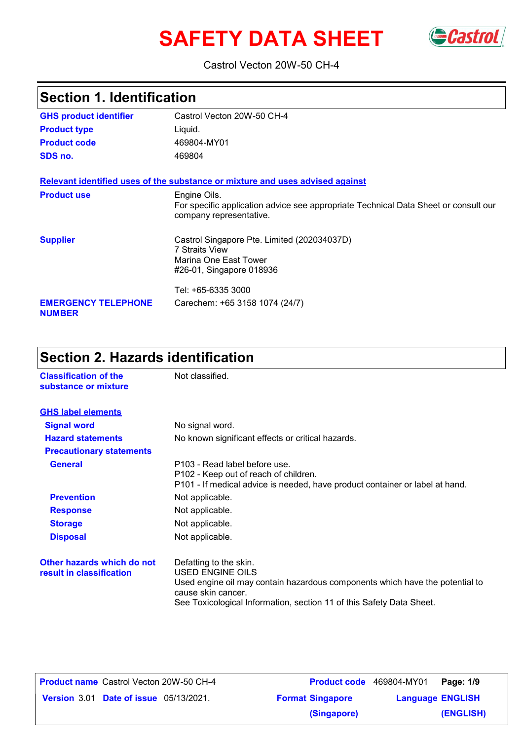# **SAFETY DATA SHEET** GCastrol



#### Castrol Vecton 20W-50 CH-4

| <b>Section 1. Identification</b>            |                                                                                                                                |  |
|---------------------------------------------|--------------------------------------------------------------------------------------------------------------------------------|--|
| <b>GHS product identifier</b>               | Castrol Vecton 20W-50 CH-4                                                                                                     |  |
| <b>Product type</b>                         | Liquid.                                                                                                                        |  |
| <b>Product code</b>                         | 469804-MY01                                                                                                                    |  |
| SDS no.                                     | 469804                                                                                                                         |  |
|                                             | Relevant identified uses of the substance or mixture and uses advised against                                                  |  |
| <b>Product use</b>                          | Engine Oils.<br>For specific application advice see appropriate Technical Data Sheet or consult our<br>company representative. |  |
| <b>Supplier</b>                             | Castrol Singapore Pte. Limited (202034037D)<br>7 Straits View<br>Marina One East Tower<br>#26-01, Singapore 018936             |  |
|                                             | Tel: +65-6335 3000                                                                                                             |  |
| <b>EMERGENCY TELEPHONE</b><br><b>NUMBER</b> | Carechem: +65 3158 1074 (24/7)                                                                                                 |  |

## **Section 2. Hazards identification**

| <b>Classification of the</b><br>substance or mixture   | Not classified.                                                                                                                                                                                                          |
|--------------------------------------------------------|--------------------------------------------------------------------------------------------------------------------------------------------------------------------------------------------------------------------------|
| <b>GHS label elements</b>                              |                                                                                                                                                                                                                          |
| <b>Signal word</b>                                     | No signal word.                                                                                                                                                                                                          |
| <b>Hazard statements</b>                               | No known significant effects or critical hazards.                                                                                                                                                                        |
| <b>Precautionary statements</b>                        |                                                                                                                                                                                                                          |
| <b>General</b>                                         | P103 - Read label before use.<br>P102 - Keep out of reach of children.<br>P101 - If medical advice is needed, have product container or label at hand.                                                                   |
| <b>Prevention</b>                                      | Not applicable.                                                                                                                                                                                                          |
| <b>Response</b>                                        | Not applicable.                                                                                                                                                                                                          |
| <b>Storage</b>                                         | Not applicable.                                                                                                                                                                                                          |
| <b>Disposal</b>                                        | Not applicable.                                                                                                                                                                                                          |
| Other hazards which do not<br>result in classification | Defatting to the skin.<br>USED ENGINE OILS<br>Used engine oil may contain hazardous components which have the potential to<br>cause skin cancer.<br>See Toxicological Information, section 11 of this Safety Data Sheet. |

| <b>Product name</b> Castrol Vecton 20W-50 CH-4 | <b>Product code</b> 469804-MY01 |                         | Page: 1/9 |
|------------------------------------------------|---------------------------------|-------------------------|-----------|
| <b>Version 3.01 Date of issue 05/13/2021.</b>  | <b>Format Singapore</b>         | <b>Language ENGLISH</b> |           |
|                                                | (Singapore)                     |                         | (ENGLISH) |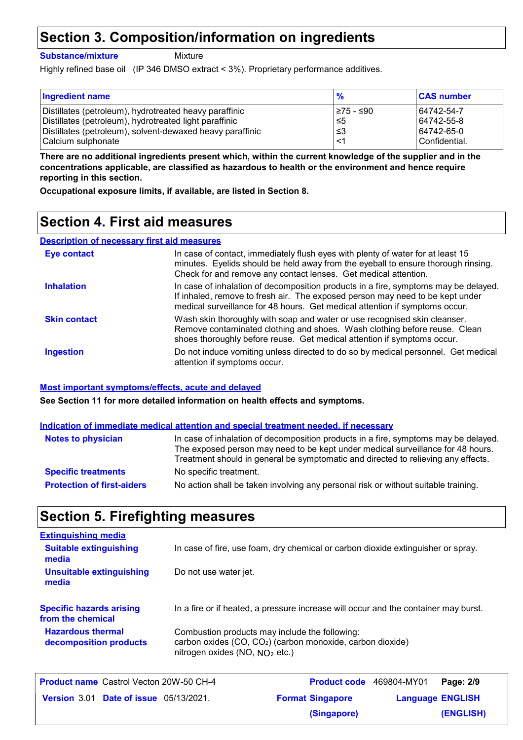### **Section 3. Composition/information on ingredients**

**Substance/mixture**

Mixture

Highly refined base oil (IP 346 DMSO extract < 3%). Proprietary performance additives.

| <b>Ingredient name</b>                                    |            | <b>CAS number</b> |
|-----------------------------------------------------------|------------|-------------------|
| Distillates (petroleum), hydrotreated heavy paraffinic    | l≥75 - ≤90 | 64742-54-7        |
| Distillates (petroleum), hydrotreated light paraffinic    | ∣≤5        | 64742-55-8        |
| Distillates (petroleum), solvent-dewaxed heavy paraffinic | ՝≤3        | 64742-65-0        |
| Calcium sulphonate                                        | ≺1         | Confidential.     |

**There are no additional ingredients present which, within the current knowledge of the supplier and in the concentrations applicable, are classified as hazardous to health or the environment and hence require reporting in this section.**

**Occupational exposure limits, if available, are listed in Section 8.**

### **Section 4. First aid measures**

#### **Description of necessary first aid measures**

| <b>Eye contact</b>  | In case of contact, immediately flush eyes with plenty of water for at least 15<br>minutes. Eyelids should be held away from the eyeball to ensure thorough rinsing.<br>Check for and remove any contact lenses. Get medical attention.             |
|---------------------|-----------------------------------------------------------------------------------------------------------------------------------------------------------------------------------------------------------------------------------------------------|
| <b>Inhalation</b>   | In case of inhalation of decomposition products in a fire, symptoms may be delayed.<br>If inhaled, remove to fresh air. The exposed person may need to be kept under<br>medical surveillance for 48 hours. Get medical attention if symptoms occur. |
| <b>Skin contact</b> | Wash skin thoroughly with soap and water or use recognised skin cleanser.<br>Remove contaminated clothing and shoes. Wash clothing before reuse. Clean<br>shoes thoroughly before reuse. Get medical attention if symptoms occur.                   |
| <b>Ingestion</b>    | Do not induce vomiting unless directed to do so by medical personnel. Get medical<br>attention if symptoms occur.                                                                                                                                   |

#### **Most important symptoms/effects, acute and delayed**

**See Section 11 for more detailed information on health effects and symptoms.**

#### **Indication of immediate medical attention and special treatment needed, if necessary**

| <b>Notes to physician</b>         | In case of inhalation of decomposition products in a fire, symptoms may be delayed.<br>The exposed person may need to be kept under medical surveillance for 48 hours.<br>Treatment should in general be symptomatic and directed to relieving any effects. |
|-----------------------------------|-------------------------------------------------------------------------------------------------------------------------------------------------------------------------------------------------------------------------------------------------------------|
| <b>Specific treatments</b>        | No specific treatment.                                                                                                                                                                                                                                      |
| <b>Protection of first-aiders</b> | No action shall be taken involving any personal risk or without suitable training.                                                                                                                                                                          |

### **Section 5. Firefighting measures**

| In case of fire, use foam, dry chemical or carbon dioxide extinguisher or spray.                                                                             |
|--------------------------------------------------------------------------------------------------------------------------------------------------------------|
| Do not use water jet.                                                                                                                                        |
| In a fire or if heated, a pressure increase will occur and the container may burst.                                                                          |
| Combustion products may include the following:<br>carbon oxides (CO, CO <sub>2</sub> ) (carbon monoxide, carbon dioxide)<br>nitrogen oxides (NO, $NO2$ etc.) |
|                                                                                                                                                              |

| Product name Castrol Vecton 20W-50 CH-4       | <b>Product code</b> 469804-MY01 |                         | Page: 2/9 |
|-----------------------------------------------|---------------------------------|-------------------------|-----------|
| <b>Version 3.01 Date of issue 05/13/2021.</b> | <b>Format Singapore</b>         | <b>Language ENGLISH</b> |           |
|                                               | (Singapore)                     |                         | (ENGLISH) |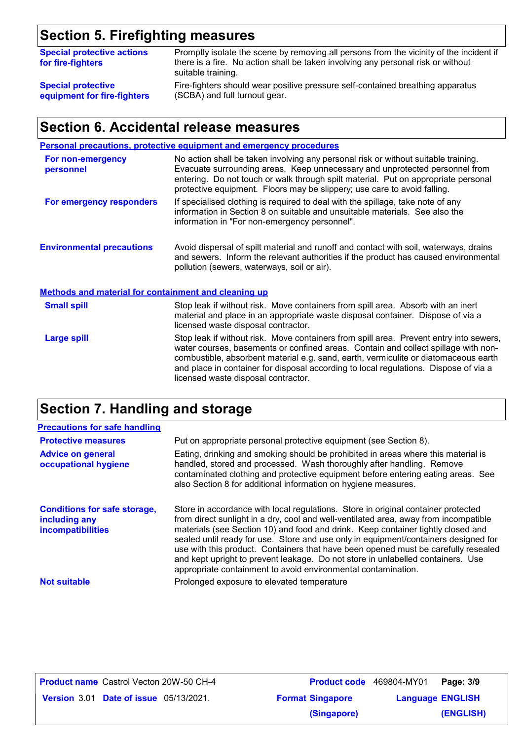# **Section 5. Firefighting measures**

| <b>Special protective actions</b><br>for fire-fighters | Promptly isolate the scene by removing all persons from the vicinity of the incident if<br>there is a fire. No action shall be taken involving any personal risk or without<br>suitable training. |
|--------------------------------------------------------|---------------------------------------------------------------------------------------------------------------------------------------------------------------------------------------------------|
| <b>Special protective</b>                              | Fire-fighters should wear positive pressure self-contained breathing apparatus                                                                                                                    |
| equipment for fire-fighters                            | (SCBA) and full turnout gear.                                                                                                                                                                     |

## **Section 6. Accidental release measures**

|                                                             | <b>Personal precautions, protective equipment and emergency procedures</b>                                                                                                                                                                                                                                                                                                                         |
|-------------------------------------------------------------|----------------------------------------------------------------------------------------------------------------------------------------------------------------------------------------------------------------------------------------------------------------------------------------------------------------------------------------------------------------------------------------------------|
| For non-emergency<br>personnel                              | No action shall be taken involving any personal risk or without suitable training.<br>Evacuate surrounding areas. Keep unnecessary and unprotected personnel from<br>entering. Do not touch or walk through spilt material. Put on appropriate personal<br>protective equipment. Floors may be slippery; use care to avoid falling.                                                                |
| For emergency responders                                    | If specialised clothing is required to deal with the spillage, take note of any<br>information in Section 8 on suitable and unsuitable materials. See also the<br>information in "For non-emergency personnel".                                                                                                                                                                                    |
| <b>Environmental precautions</b>                            | Avoid dispersal of spilt material and runoff and contact with soil, waterways, drains<br>and sewers. Inform the relevant authorities if the product has caused environmental<br>pollution (sewers, waterways, soil or air).                                                                                                                                                                        |
| <b>Methods and material for containment and cleaning up</b> |                                                                                                                                                                                                                                                                                                                                                                                                    |
| <b>Small spill</b>                                          | Stop leak if without risk. Move containers from spill area. Absorb with an inert<br>material and place in an appropriate waste disposal container. Dispose of via a<br>licensed waste disposal contractor.                                                                                                                                                                                         |
| <b>Large spill</b>                                          | Stop leak if without risk. Move containers from spill area. Prevent entry into sewers,<br>water courses, basements or confined areas. Contain and collect spillage with non-<br>combustible, absorbent material e.g. sand, earth, vermiculite or diatomaceous earth<br>and place in container for disposal according to local regulations. Dispose of via a<br>licensed waste disposal contractor. |

## **Section 7. Handling and storage**

| <b>Precautions for safe handling</b>                                      |                                                                                                                                                                                                                                                                                                                                                                                                                                                                                                                                                                                                |
|---------------------------------------------------------------------------|------------------------------------------------------------------------------------------------------------------------------------------------------------------------------------------------------------------------------------------------------------------------------------------------------------------------------------------------------------------------------------------------------------------------------------------------------------------------------------------------------------------------------------------------------------------------------------------------|
| <b>Protective measures</b>                                                | Put on appropriate personal protective equipment (see Section 8).                                                                                                                                                                                                                                                                                                                                                                                                                                                                                                                              |
| <b>Advice on general</b><br>occupational hygiene                          | Eating, drinking and smoking should be prohibited in areas where this material is<br>handled, stored and processed. Wash thoroughly after handling. Remove<br>contaminated clothing and protective equipment before entering eating areas. See<br>also Section 8 for additional information on hygiene measures.                                                                                                                                                                                                                                                                               |
| <b>Conditions for safe storage,</b><br>including any<br>incompatibilities | Store in accordance with local regulations. Store in original container protected<br>from direct sunlight in a dry, cool and well-ventilated area, away from incompatible<br>materials (see Section 10) and food and drink. Keep container tightly closed and<br>sealed until ready for use. Store and use only in equipment/containers designed for<br>use with this product. Containers that have been opened must be carefully resealed<br>and kept upright to prevent leakage. Do not store in unlabelled containers. Use<br>appropriate containment to avoid environmental contamination. |
| <b>Not suitable</b>                                                       | Prolonged exposure to elevated temperature                                                                                                                                                                                                                                                                                                                                                                                                                                                                                                                                                     |

| <b>Product name</b> Castrol Vecton 20W-50 CH-4 | Product code 469804-MY01 |                         | Page: 3/9 |
|------------------------------------------------|--------------------------|-------------------------|-----------|
| <b>Version 3.01 Date of issue 05/13/2021.</b>  | <b>Format Singapore</b>  | <b>Language ENGLISH</b> |           |
|                                                | (Singapore)              |                         | (ENGLISH) |

| <b>Product code</b> 469804-MY01 |                         | Page: 3/9 |  |
|---------------------------------|-------------------------|-----------|--|
| Singapore                       | <b>Language ENGLISH</b> |           |  |
| (Singapore)                     |                         | (ENGLISH) |  |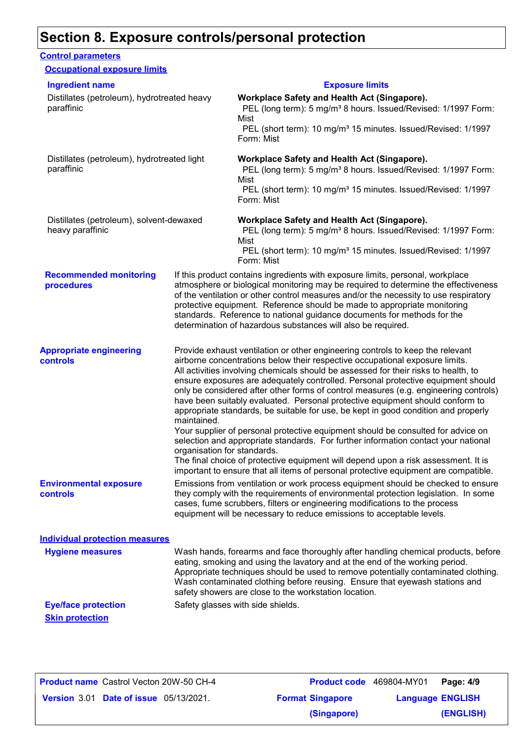### **Section 8. Exposure controls/personal protection**

#### **Recommended monitoring procedures** If this product contains ingredients with exposure limits, personal, workplace atmosphere or biological monitoring may be required to determine the effectiveness of the ventilation or other control measures and/or the necessity to use respiratory protective equipment. Reference should be made to appropriate monitoring standards. Reference to national guidance documents for methods for the determination of hazardous substances will also be required. **Eye/face protection** Safety glasses with side shields. **Environmental exposure controls** Emissions from ventilation or work process equipment should be checked to ensure they comply with the requirements of environmental protection legislation. In some cases, fume scrubbers, filters or engineering modifications to the process equipment will be necessary to reduce emissions to acceptable levels. **Appropriate engineering controls** Provide exhaust ventilation or other engineering controls to keep the relevant airborne concentrations below their respective occupational exposure limits. All activities involving chemicals should be assessed for their risks to health, to ensure exposures are adequately controlled. Personal protective equipment should only be considered after other forms of control measures (e.g. engineering controls) have been suitably evaluated. Personal protective equipment should conform to appropriate standards, be suitable for use, be kept in good condition and properly maintained. Your supplier of personal protective equipment should be consulted for advice on selection and appropriate standards. For further information contact your national organisation for standards. The final choice of protective equipment will depend upon a risk assessment. It is important to ensure that all items of personal protective equipment are compatible. Wash hands, forearms and face thoroughly after handling chemical products, before eating, smoking and using the lavatory and at the end of the working period. Appropriate techniques should be used to remove potentially contaminated clothing. Wash contaminated clothing before reusing. Ensure that eyewash stations and safety showers are close to the workstation location. **Hygiene measures Control parameters Individual protection measures Occupational exposure limits Skin protection** Distillates (petroleum), hydrotreated heavy paraffinic **Workplace Safety and Health Act (Singapore).** PEL (long term): 5 mg/m<sup>3</sup> 8 hours. Issued/Revised: 1/1997 Form: Mist PEL (short term): 10 mg/m<sup>3</sup> 15 minutes. Issued/Revised: 1/1997 Form: Mist Distillates (petroleum), hydrotreated light paraffinic **Workplace Safety and Health Act (Singapore).** PEL (long term): 5 mg/m<sup>3</sup> 8 hours. Issued/Revised: 1/1997 Form: Mist PEL (short term): 10 mg/m<sup>3</sup> 15 minutes. Issued/Revised: 1/1997 Form: Mist Distillates (petroleum), solvent-dewaxed heavy paraffinic **Workplace Safety and Health Act (Singapore).** PEL (long term): 5 mg/m<sup>3</sup> 8 hours. Issued/Revised: 1/1997 Form: Mist PEL (short term): 10 mg/m<sup>3</sup> 15 minutes. Issued/Revised: 1/1997 Form: Mist **Ingredient name Exposure limits**

| <b>Product name</b> Castrol Vecton 20W-50 CH-4 | <b>Product code</b> 469804-MY01 |                         | Page: 4/9 |
|------------------------------------------------|---------------------------------|-------------------------|-----------|
| <b>Version 3.01 Date of issue 05/13/2021.</b>  | <b>Format Singapore</b>         | <b>Language ENGLISH</b> |           |
|                                                | (Singapore)                     |                         | (ENGLISH) |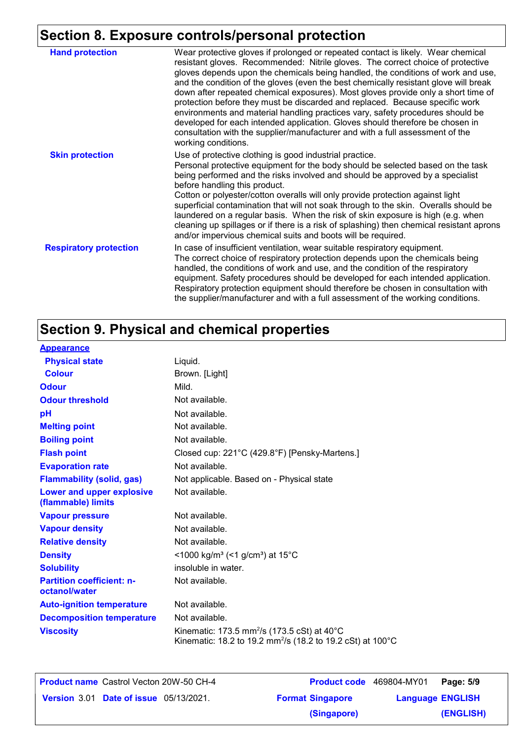## **Section 8. Exposure controls/personal protection**

| <b>Hand protection</b>        | Wear protective gloves if prolonged or repeated contact is likely. Wear chemical<br>resistant gloves. Recommended: Nitrile gloves. The correct choice of protective<br>gloves depends upon the chemicals being handled, the conditions of work and use,<br>and the condition of the gloves (even the best chemically resistant glove will break<br>down after repeated chemical exposures). Most gloves provide only a short time of<br>protection before they must be discarded and replaced. Because specific work<br>environments and material handling practices vary, safety procedures should be<br>developed for each intended application. Gloves should therefore be chosen in<br>consultation with the supplier/manufacturer and with a full assessment of the<br>working conditions. |
|-------------------------------|-------------------------------------------------------------------------------------------------------------------------------------------------------------------------------------------------------------------------------------------------------------------------------------------------------------------------------------------------------------------------------------------------------------------------------------------------------------------------------------------------------------------------------------------------------------------------------------------------------------------------------------------------------------------------------------------------------------------------------------------------------------------------------------------------|
| <b>Skin protection</b>        | Use of protective clothing is good industrial practice.<br>Personal protective equipment for the body should be selected based on the task<br>being performed and the risks involved and should be approved by a specialist<br>before handling this product.<br>Cotton or polyester/cotton overalls will only provide protection against light<br>superficial contamination that will not soak through to the skin. Overalls should be<br>laundered on a regular basis. When the risk of skin exposure is high (e.g. when<br>cleaning up spillages or if there is a risk of splashing) then chemical resistant aprons<br>and/or impervious chemical suits and boots will be required.                                                                                                           |
| <b>Respiratory protection</b> | In case of insufficient ventilation, wear suitable respiratory equipment.<br>The correct choice of respiratory protection depends upon the chemicals being<br>handled, the conditions of work and use, and the condition of the respiratory<br>equipment. Safety procedures should be developed for each intended application.<br>Respiratory protection equipment should therefore be chosen in consultation with<br>the supplier/manufacturer and with a full assessment of the working conditions.                                                                                                                                                                                                                                                                                           |

## **Section 9. Physical and chemical properties**

| <b>Appearance</b>                                 |                                                                                                                                              |
|---------------------------------------------------|----------------------------------------------------------------------------------------------------------------------------------------------|
| <b>Physical state</b>                             | Liquid.                                                                                                                                      |
| <b>Colour</b>                                     | Brown. [Light]                                                                                                                               |
| <b>Odour</b>                                      | Mild.                                                                                                                                        |
| <b>Odour threshold</b>                            | Not available.                                                                                                                               |
| pH                                                | Not available.                                                                                                                               |
| <b>Melting point</b>                              | Not available.                                                                                                                               |
| <b>Boiling point</b>                              | Not available.                                                                                                                               |
| <b>Flash point</b>                                | Closed cup: 221°C (429.8°F) [Pensky-Martens.]                                                                                                |
| <b>Evaporation rate</b>                           | Not available.                                                                                                                               |
| <b>Flammability (solid, gas)</b>                  | Not applicable. Based on - Physical state                                                                                                    |
| Lower and upper explosive<br>(flammable) limits   | Not available.                                                                                                                               |
| <b>Vapour pressure</b>                            | Not available.                                                                                                                               |
| <b>Vapour density</b>                             | Not available.                                                                                                                               |
| <b>Relative density</b>                           | Not available.                                                                                                                               |
| <b>Density</b>                                    | <1000 kg/m <sup>3</sup> (<1 g/cm <sup>3</sup> ) at 15 <sup>°</sup> C                                                                         |
| <b>Solubility</b>                                 | insoluble in water.                                                                                                                          |
| <b>Partition coefficient: n-</b><br>octanol/water | Not available.                                                                                                                               |
| <b>Auto-ignition temperature</b>                  | Not available.                                                                                                                               |
| <b>Decomposition temperature</b>                  | Not available.                                                                                                                               |
| <b>Viscosity</b>                                  | Kinematic: 173.5 mm <sup>2</sup> /s (173.5 cSt) at $40^{\circ}$ C<br>Kinematic: 18.2 to 19.2 mm <sup>2</sup> /s (18.2 to 19.2 cSt) at 100 °C |

| <b>Product name</b> Castrol Vecton 20W-50 CH-4 |                         | <b>Product code</b> 469804-MY01 | Page: 5/9 |
|------------------------------------------------|-------------------------|---------------------------------|-----------|
| <b>Version 3.01 Date of issue 05/13/2021.</b>  | <b>Format Singapore</b> | <b>Language ENGLISH</b>         |           |
|                                                | (Singapore)             |                                 | (ENGLISH) |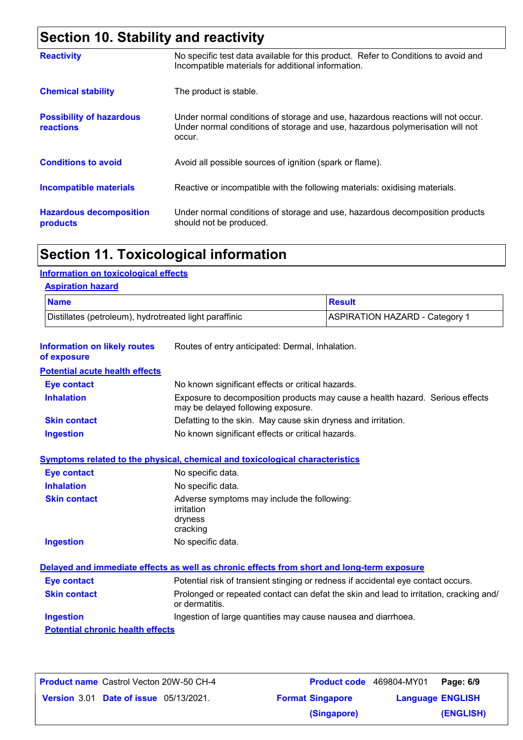## **Section 10. Stability and reactivity**

| <b>Reactivity</b>                            | No specific test data available for this product. Refer to Conditions to avoid and<br>Incompatible materials for additional information.                                   |
|----------------------------------------------|----------------------------------------------------------------------------------------------------------------------------------------------------------------------------|
| <b>Chemical stability</b>                    | The product is stable.                                                                                                                                                     |
| <b>Possibility of hazardous</b><br>reactions | Under normal conditions of storage and use, hazardous reactions will not occur.<br>Under normal conditions of storage and use, hazardous polymerisation will not<br>occur. |
| <b>Conditions to avoid</b>                   | Avoid all possible sources of ignition (spark or flame).                                                                                                                   |
| <b>Incompatible materials</b>                | Reactive or incompatible with the following materials: oxidising materials.                                                                                                |
| <b>Hazardous decomposition</b><br>products   | Under normal conditions of storage and use, hazardous decomposition products<br>should not be produced.                                                                    |

## **Section 11. Toxicological information**

### **Information on toxicological effects**

| <b>Aspiration hazard</b> |
|--------------------------|
|--------------------------|

| <b>Name</b>                                            | Result                         |
|--------------------------------------------------------|--------------------------------|
| Distillates (petroleum), hydrotreated light paraffinic | ASPIRATION HAZARD - Category 1 |

| <b>Information on likely routes</b><br>of exposure | Routes of entry anticipated: Dermal, Inhalation.                                                                    |
|----------------------------------------------------|---------------------------------------------------------------------------------------------------------------------|
| <b>Potential acute health effects</b>              |                                                                                                                     |
| <b>Eye contact</b>                                 | No known significant effects or critical hazards.                                                                   |
| <b>Inhalation</b>                                  | Exposure to decomposition products may cause a health hazard. Serious effects<br>may be delayed following exposure. |
| <b>Skin contact</b>                                | Defatting to the skin. May cause skin dryness and irritation.                                                       |
| <b>Ingestion</b>                                   | No known significant effects or critical hazards.                                                                   |
|                                                    | <b>Symptoms related to the physical, chemical and toxicological characteristics</b>                                 |
| <b>Eye contact</b>                                 | No specific data.                                                                                                   |
| <b>Inhalation</b>                                  | No specific data.                                                                                                   |
| <b>Skin contact</b>                                | Adverse symptoms may include the following:<br>irritation<br>dryness<br>cracking                                    |
| <b>Ingestion</b>                                   | No specific data.                                                                                                   |
|                                                    | Delayed and immediate effects as well as chronic effects from short and long-term exposure                          |
| <b>Eye contact</b>                                 | Potential risk of transient stinging or redness if accidental eye contact occurs.                                   |
| <b>Skin contact</b>                                | Prolonged or repeated contact can defat the skin and lead to irritation, cracking and/<br>or dermatitis.            |
| <b>Ingestion</b>                                   | Ingestion of large quantities may cause nausea and diarrhoea.                                                       |
| <b>Potential chronic health effects</b>            |                                                                                                                     |

| Product name Castrol Vecton 20W-50 CH-4 | <b>Product code</b> 469804-MY01 |                         | Page: 6/9 |
|-----------------------------------------|---------------------------------|-------------------------|-----------|
| Version 3.01 Date of issue 05/13/2021.  | <b>Format Singapore</b>         | <b>Language ENGLISH</b> |           |
|                                         | (Singapore)                     |                         | (ENGLISH) |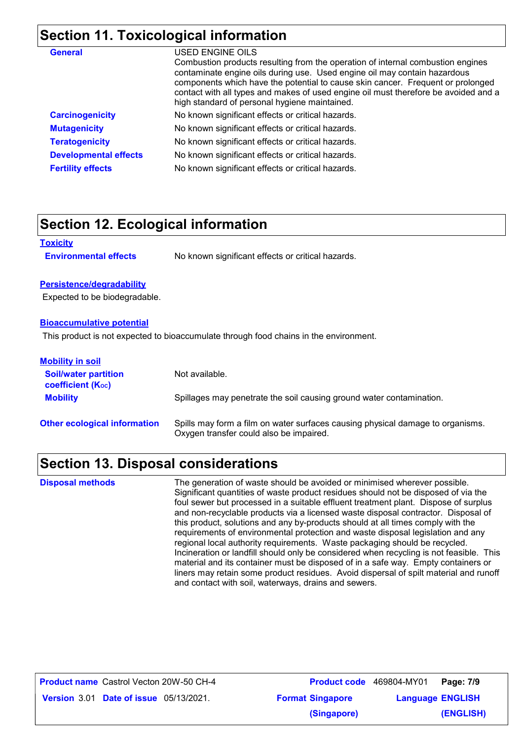### **Section 11. Toxicological information**

| <b>General</b>               | USED ENGINE OILS<br>Combustion products resulting from the operation of internal combustion engines<br>contaminate engine oils during use. Used engine oil may contain hazardous<br>components which have the potential to cause skin cancer. Frequent or prolonged<br>contact with all types and makes of used engine oil must therefore be avoided and a<br>high standard of personal hygiene maintained. |
|------------------------------|-------------------------------------------------------------------------------------------------------------------------------------------------------------------------------------------------------------------------------------------------------------------------------------------------------------------------------------------------------------------------------------------------------------|
| <b>Carcinogenicity</b>       | No known significant effects or critical hazards.                                                                                                                                                                                                                                                                                                                                                           |
| <b>Mutagenicity</b>          | No known significant effects or critical hazards.                                                                                                                                                                                                                                                                                                                                                           |
| <b>Teratogenicity</b>        | No known significant effects or critical hazards.                                                                                                                                                                                                                                                                                                                                                           |
| <b>Developmental effects</b> | No known significant effects or critical hazards.                                                                                                                                                                                                                                                                                                                                                           |
| <b>Fertility effects</b>     | No known significant effects or critical hazards.                                                                                                                                                                                                                                                                                                                                                           |

### **Section 12. Ecological information**

| <b>Toxicity</b>              |                                                   |
|------------------------------|---------------------------------------------------|
| <b>Environmental effects</b> | No known significant effects or critical hazards. |

#### **Persistence/degradability**

Expected to be biodegradable.

#### **Bioaccumulative potential**

This product is not expected to bioaccumulate through food chains in the environment.

| <b>Mobility in soil</b>                                 |                                                                                                                           |
|---------------------------------------------------------|---------------------------------------------------------------------------------------------------------------------------|
| <b>Soil/water partition</b><br><b>coefficient (Koc)</b> | Not available.                                                                                                            |
| <b>Mobility</b>                                         | Spillages may penetrate the soil causing ground water contamination.                                                      |
| <b>Other ecological information</b>                     | Spills may form a film on water surfaces causing physical damage to organisms.<br>Oxygen transfer could also be impaired. |

### **Section 13. Disposal considerations**

The generation of waste should be avoided or minimised wherever possible. Significant quantities of waste product residues should not be disposed of via the foul sewer but processed in a suitable effluent treatment plant. Dispose of surplus and non-recyclable products via a licensed waste disposal contractor. Disposal of this product, solutions and any by-products should at all times comply with the requirements of environmental protection and waste disposal legislation and any regional local authority requirements. Waste packaging should be recycled. Incineration or landfill should only be considered when recycling is not feasible. This material and its container must be disposed of in a safe way. Empty containers or liners may retain some product residues. Avoid dispersal of spilt material and runoff and contact with soil, waterways, drains and sewers. **Disposal methods**

| <b>Product name</b> Castrol Vecton 20W-50 CH-4 | Product code 469804-MY01 |                         | Page: 7/9 |
|------------------------------------------------|--------------------------|-------------------------|-----------|
| <b>Version 3.01 Date of issue 05/13/2021.</b>  | <b>Format Singapore</b>  | <b>Language ENGLISH</b> |           |
|                                                | (Singapore)              |                         | (ENGLISH) |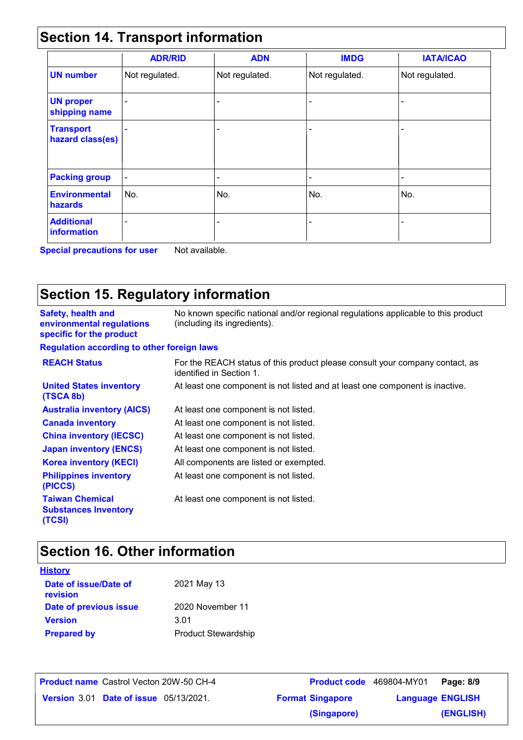## **Section 14. Transport information**

|                                      | <b>ADR/RID</b>           | <b>ADN</b>                   | <b>IMDG</b>              | <b>IATA/ICAO</b> |
|--------------------------------------|--------------------------|------------------------------|--------------------------|------------------|
| <b>UN number</b>                     | Not regulated.           | Not regulated.               | Not regulated.           | Not regulated.   |
| <b>UN proper</b><br>shipping name    |                          | $\qquad \qquad \blacksquare$ |                          |                  |
| <b>Transport</b><br>hazard class(es) |                          | $\overline{\phantom{a}}$     | $\overline{\phantom{0}}$ |                  |
| <b>Packing group</b>                 | $\overline{\phantom{a}}$ | $\overline{\phantom{a}}$     | -                        | -                |
| <b>Environmental</b><br>hazards      | No.                      | No.                          | No.                      | No.              |
| <b>Additional</b><br>information     |                          |                              |                          |                  |

**Special precautions for user** Not available.

## **Section 15. Regulatory information**

| <b>Safety, health and</b><br>environmental regulations<br>specific for the product | No known specific national and/or regional regulations applicable to this product<br>(including its ingredients). |
|------------------------------------------------------------------------------------|-------------------------------------------------------------------------------------------------------------------|
| <b>Regulation according to other foreign laws</b>                                  |                                                                                                                   |
| <b>REACH Status</b>                                                                | For the REACH status of this product please consult your company contact, as<br>identified in Section 1.          |
| <b>United States inventory</b><br>(TSCA 8b)                                        | At least one component is not listed and at least one component is inactive.                                      |
| <b>Australia inventory (AICS)</b>                                                  | At least one component is not listed.                                                                             |
| <b>Canada inventory</b>                                                            | At least one component is not listed.                                                                             |
| <b>China inventory (IECSC)</b>                                                     | At least one component is not listed.                                                                             |
| <b>Japan inventory (ENCS)</b>                                                      | At least one component is not listed.                                                                             |
| <b>Korea inventory (KECI)</b>                                                      | All components are listed or exempted.                                                                            |
| <b>Philippines inventory</b><br>(PICCS)                                            | At least one component is not listed.                                                                             |
| <b>Taiwan Chemical</b><br><b>Substances Inventory</b><br>(TCSI)                    | At least one component is not listed.                                                                             |

## **Section 16. Other information**

| <b>History</b>                    |                            |
|-----------------------------------|----------------------------|
| Date of issue/Date of<br>revision | 2021 May 13                |
| Date of previous issue            | 2020 November 11           |
| <b>Version</b>                    | 3.01                       |
| <b>Prepared by</b>                | <b>Product Stewardship</b> |

| <b>Product name</b> Castrol Vecton 20W-50 CH-4 |                         | Product code 469804-MY01 Page: 8/9 |           |
|------------------------------------------------|-------------------------|------------------------------------|-----------|
| <b>Version 3.01 Date of issue 05/13/2021.</b>  | <b>Format Singapore</b> | <b>Language ENGLISH</b>            |           |
|                                                | (Singapore)             |                                    | (ENGLISH) |